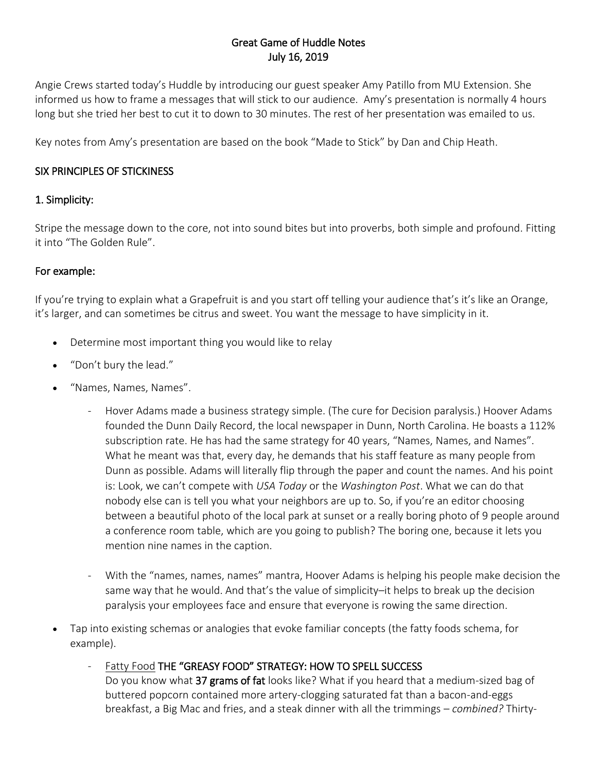## Great Game of Huddle Notes July 16, 2019

Angie Crews started today's Huddle by introducing our guest speaker Amy Patillo from MU Extension. She informed us how to frame a messages that will stick to our audience. Amy's presentation is normally 4 hours long but she tried her best to cut it to down to 30 minutes. The rest of her presentation was emailed to us.

Key notes from Amy's presentation are based on the book "Made to Stick" by Dan and Chip Heath.

### SIX PRINCIPLES OF STICKINESS

## 1. Simplicity:

Stripe the message down to the core, not into sound bites but into proverbs, both simple and profound. Fitting it into "The Golden Rule".

## For example:

If you're trying to explain what a Grapefruit is and you start off telling your audience that's it's like an Orange, it's larger, and can sometimes be citrus and sweet. You want the message to have simplicity in it.

- Determine most important thing you would like to relay
- "Don't bury the lead."
- "Names, Names, Names".
	- Hover Adams made a business strategy simple. (The cure for Decision paralysis.) Hoover Adams founded the Dunn Daily Record, the local newspaper in Dunn, North Carolina. He boasts a 112% subscription rate. He has had the same strategy for 40 years, "Names, Names, and Names". What he meant was that, every day, he demands that his staff feature as many people from Dunn as possible. Adams will literally flip through the paper and count the names. And his point is: Look, we can't compete with *USA Today* or the *Washington Post*. What we can do that nobody else can is tell you what your neighbors are up to. So, if you're an editor choosing between a beautiful photo of the local park at sunset or a really boring photo of 9 people around a conference room table, which are you going to publish? The boring one, because it lets you mention nine names in the caption.
	- With the "names, names, names" mantra, Hoover Adams is helping his people make decision the same way that he would. And that's the value of simplicity–it helps to break up the decision paralysis your employees face and ensure that everyone is rowing the same direction.
- Tap into existing schemas or analogies that evoke familiar concepts (the fatty foods schema, for example).

Fatty Food THE "GREASY FOOD" STRATEGY: HOW TO SPELL SUCCESS

Do you know what 37 grams of fat looks like? What if you heard that a medium-sized bag of buttered popcorn contained more artery-clogging saturated fat than a bacon-and-eggs breakfast, a Big Mac and fries, and a steak dinner with all the trimmings – *combined?* Thirty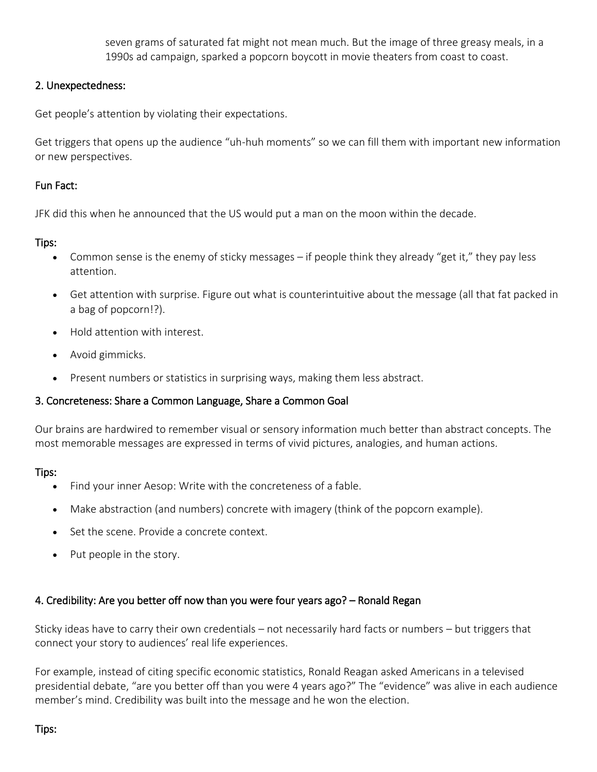seven grams of saturated fat might not mean much. But the image of three greasy meals, in a 1990s ad campaign, sparked a popcorn boycott in movie theaters from coast to coast.

#### 2. Unexpectedness:

Get people's attention by violating their expectations.

Get triggers that opens up the audience "uh-huh moments" so we can fill them with important new information or new perspectives.

# Fun Fact:

JFK did this when he announced that the US would put a man on the moon within the decade.

#### Tips:

- Common sense is the enemy of sticky messages if people think they already "get it," they pay less attention.
- Get attention with surprise. Figure out what is counterintuitive about the message (all that fat packed in a bag of popcorn!?).
- Hold attention with interest.
- Avoid gimmicks.
- Present numbers or statistics in surprising ways, making them less abstract.

#### 3. Concreteness: Share a Common Language, Share a Common Goal

Our brains are hardwired to remember visual or sensory information much better than abstract concepts. The most memorable messages are expressed in terms of vivid pictures, analogies, and human actions.

#### Tips:

- Find your inner Aesop: Write with the concreteness of a fable.
- Make abstraction (and numbers) concrete with imagery (think of the popcorn example).
- Set the scene. Provide a concrete context.
- $\bullet$  Put people in the story.

#### 4. Credibility: Are you better off now than you were four years ago? – Ronald Regan

Sticky ideas have to carry their own credentials – not necessarily hard facts or numbers – but triggers that connect your story to audiences' real life experiences.

For example, instead of citing specific economic statistics, Ronald Reagan asked Americans in a televised presidential debate, "are you better off than you were 4 years ago?" The "evidence" was alive in each audience member's mind. Credibility was built into the message and he won the election.